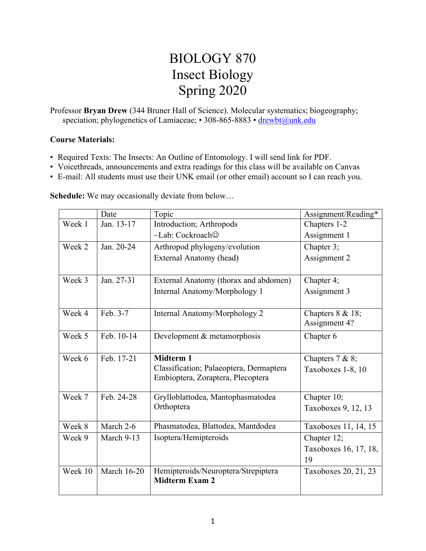# BIOLOGY 870 Insect Biology Spring 2020

Professor **Bryan Drew** (344 Bruner Hall of Science). Molecular systematics; biogeography; speciation; phylogenetics of Lamiaceae; • 308-865-8883 • drewbt@unk.edu

## **Course Materials:**

- Required Texts: The Insects: An Outline of Entomology. I will send link for PDF.
- Voicethreads, announcements and extra readings for this class will be available on Canvas
- E-mail: All students must use their UNK email (or other email) account so I can reach you.

| <b>Schedule:</b> We may occasionally deviate from below |  |
|---------------------------------------------------------|--|
|                                                         |  |

|         | Date               | Topic                                   | Assignment/Reading*   |
|---------|--------------------|-----------------------------------------|-----------------------|
| Week 1  | Jan. 13-17         | Introduction; Arthropods                | Chapters 1-2          |
|         |                    | $\sim$ Lab: Cockroach $\odot$           | Assignment 1          |
| Week 2  | Jan. 20-24         | Arthropod phylogeny/evolution           | Chapter 3;            |
|         |                    | External Anatomy (head)                 | Assignment 2          |
|         |                    |                                         |                       |
| Week 3  | Jan. 27-31         | External Anatomy (thorax and abdomen)   | Chapter 4;            |
|         |                    | Internal Anatomy/Morphology 1           | Assignment 3          |
|         |                    |                                         |                       |
| Week 4  | Feb. 3-7           | Internal Anatomy/Morphology 2           | Chapters 8 & 18;      |
|         |                    |                                         | Assignment 4?         |
| Week 5  | Feb. 10-14         | Development & metamorphosis             | Chapter 6             |
|         |                    |                                         |                       |
| Week 6  | Feb. 17-21         | <b>Midterm 1</b>                        | Chapters $7 & 8;$     |
|         |                    | Classification; Palaeoptera, Dermaptera | Taxoboxes 1-8, 10     |
|         |                    | Embioptera, Zoraptera, Plecoptera       |                       |
| Week 7  | Feb. 24-28         | Grylloblattodea, Mantophasmatodea       | Chapter 10;           |
|         |                    | Orthoptera                              | Taxoboxes 9, 12, 13   |
|         |                    |                                         |                       |
| Week 8  | March 2-6          | Phasmatodea, Blattodea, Mantdodea       | Taxoboxes 11, 14, 15  |
| Week 9  | March 9-13         | Isoptera/Hemipteroids                   | Chapter 12;           |
|         |                    |                                         | Taxoboxes 16, 17, 18, |
|         |                    |                                         | 19                    |
| Week 10 | <b>March 16-20</b> | Hemipteroids/Neuroptera/Strepiptera     | Taxoboxes 20, 21, 23  |
|         |                    | <b>Midterm Exam 2</b>                   |                       |
|         |                    |                                         |                       |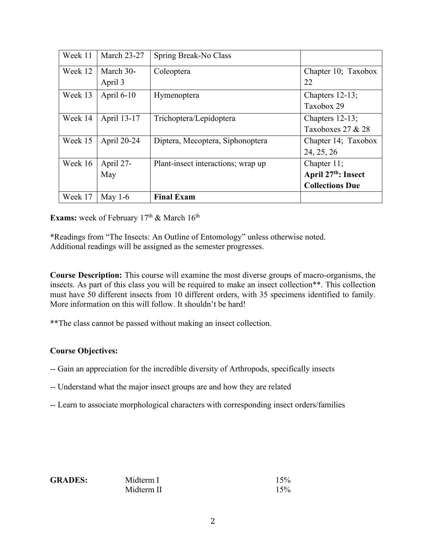| Week 11 | <b>March 23-27</b> | Spring Break-No Class              |                                 |
|---------|--------------------|------------------------------------|---------------------------------|
| Week 12 | March 30-          | Coleoptera                         | Chapter 10; Taxobox             |
|         | April 3            |                                    | 22                              |
| Week 13 | April 6-10         | Hymenoptera                        | Chapters 12-13;                 |
|         |                    |                                    | Taxobox 29                      |
| Week 14 | April 13-17        | Trichoptera/Lepidoptera            | Chapters $12-13$ ;              |
|         |                    |                                    | Taxoboxes $27 & 28$             |
| Week 15 | April 20-24        | Diptera, Mecoptera, Siphonoptera   | Chapter 14; Taxobox             |
|         |                    |                                    | 24, 25, 26                      |
| Week 16 | April 27-          | Plant-insect interactions; wrap up | Chapter 11;                     |
|         | May                |                                    | April 27 <sup>th</sup> : Insect |
|         |                    |                                    | <b>Collections Due</b>          |
| Week 17 | May $1-6$          | <b>Final Exam</b>                  |                                 |

**Exams:** week of February 17<sup>th</sup> & March 16<sup>th</sup>

**\***Readings from "The Insects: An Outline of Entomology" unless otherwise noted. Additional readings will be assigned as the semester progresses.

**Course Description:** This course will examine the most diverse groups of macro-organisms, the insects. As part of this class you will be required to make an insect collection\*\*. This collection must have 50 different insects from 10 different orders, with 35 specimens identified to family. More information on this will follow. It shouldn't be hard!

\*\*The class cannot be passed without making an insect collection.

# **Course Objectives:**

- -- Gain an appreciation for the incredible diversity of Arthropods, specifically insects
- -- Understand what the major insect groups are and how they are related
- -- Learn to associate morphological characters with corresponding insect orders/families

| <b>GRADES:</b> | Midterm I  | 15% |
|----------------|------------|-----|
|                | Midterm II | 15% |